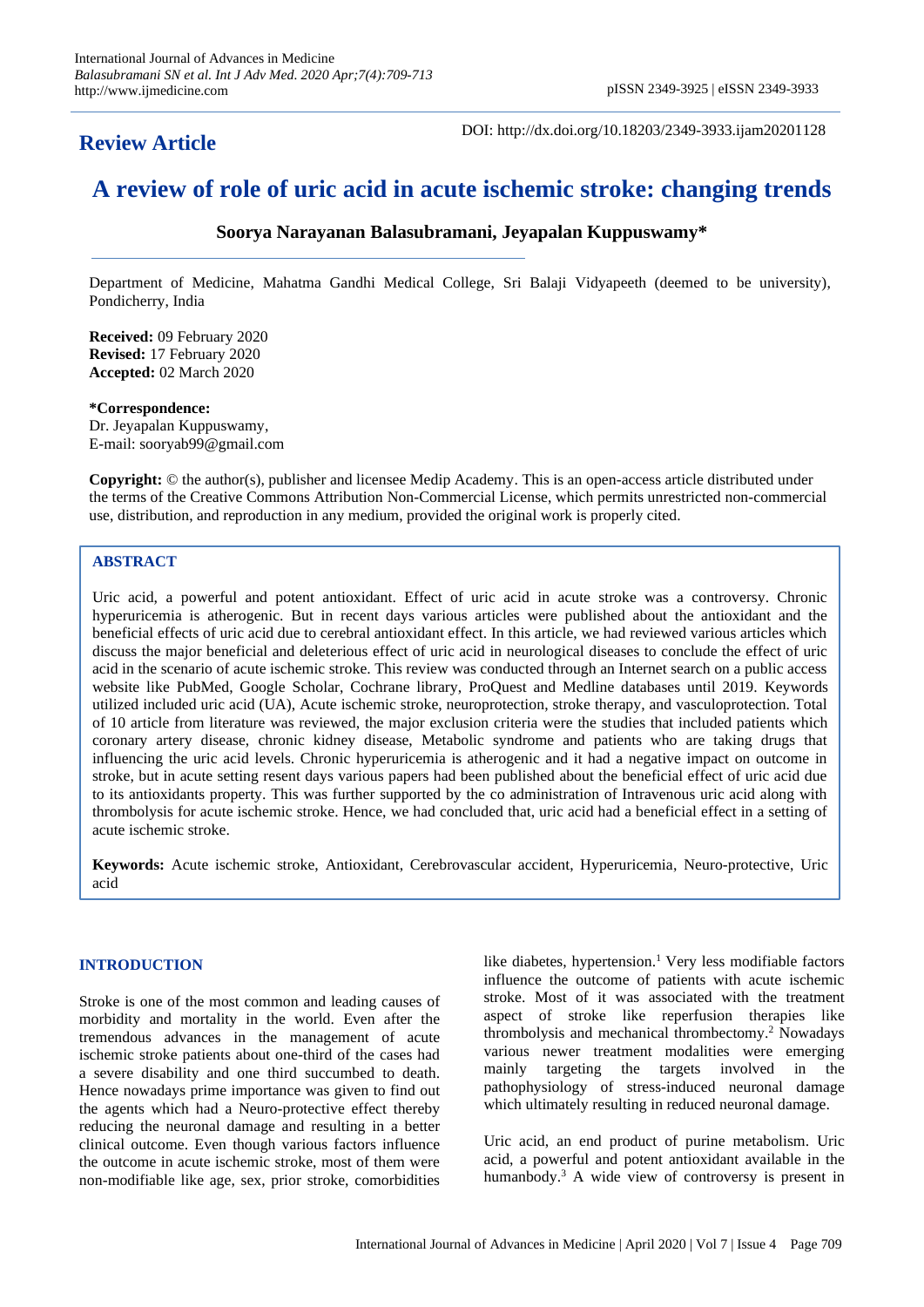## **Review Article**

DOI: http://dx.doi.org/10.18203/2349-3933.ijam20201128

# **A review of role of uric acid in acute ischemic stroke: changing trends**

## **Soorya Narayanan Balasubramani, Jeyapalan Kuppuswamy\***

Department of Medicine, Mahatma Gandhi Medical College, Sri Balaji Vidyapeeth (deemed to be university), Pondicherry, India

**Received:** 09 February 2020 **Revised:** 17 February 2020 **Accepted:** 02 March 2020

## **\*Correspondence:**

Dr. Jeyapalan Kuppuswamy, E-mail: sooryab99@gmail.com

**Copyright:** © the author(s), publisher and licensee Medip Academy. This is an open-access article distributed under the terms of the Creative Commons Attribution Non-Commercial License, which permits unrestricted non-commercial use, distribution, and reproduction in any medium, provided the original work is properly cited.

#### **ABSTRACT**

Uric acid, a powerful and potent antioxidant. Effect of uric acid in acute stroke was a controversy. Chronic hyperuricemia is atherogenic. But in recent days various articles were published about the antioxidant and the beneficial effects of uric acid due to cerebral antioxidant effect. In this article, we had reviewed various articles which discuss the major beneficial and deleterious effect of uric acid in neurological diseases to conclude the effect of uric acid in the scenario of acute ischemic stroke. This review was conducted through an Internet search on a public access website like PubMed, Google Scholar, Cochrane library, ProQuest and Medline databases until 2019. Keywords utilized included uric acid (UA), Acute ischemic stroke, neuroprotection, stroke therapy, and vasculoprotection. Total of 10 article from literature was reviewed, the major exclusion criteria were the studies that included patients which coronary artery disease, chronic kidney disease, Metabolic syndrome and patients who are taking drugs that influencing the uric acid levels. Chronic hyperuricemia is atherogenic and it had a negative impact on outcome in stroke, but in acute setting resent days various papers had been published about the beneficial effect of uric acid due to its antioxidants property. This was further supported by the co administration of Intravenous uric acid along with thrombolysis for acute ischemic stroke. Hence, we had concluded that, uric acid had a beneficial effect in a setting of acute ischemic stroke.

**Keywords:** Acute ischemic stroke, Antioxidant, Cerebrovascular accident, Hyperuricemia, Neuro-protective, Uric acid

## **INTRODUCTION**

Stroke is one of the most common and leading causes of morbidity and mortality in the world. Even after the tremendous advances in the management of acute ischemic stroke patients about one-third of the cases had a severe disability and one third succumbed to death. Hence nowadays prime importance was given to find out the agents which had a Neuro-protective effect thereby reducing the neuronal damage and resulting in a better clinical outcome. Even though various factors influence the outcome in acute ischemic stroke, most of them were non-modifiable like age, sex, prior stroke, comorbidities

like diabetes, hypertension. <sup>1</sup> Very less modifiable factors influence the outcome of patients with acute ischemic stroke. Most of it was associated with the treatment aspect of stroke like reperfusion therapies like thrombolysis and mechanical thrombectomy. <sup>2</sup> Nowadays various newer treatment modalities were emerging mainly targeting the targets involved in the pathophysiology of stress-induced neuronal damage which ultimately resulting in reduced neuronal damage.

Uric acid, an end product of purine metabolism. Uric acid, a powerful and potent antioxidant available in the humanbody. <sup>3</sup> A wide view of controversy is present in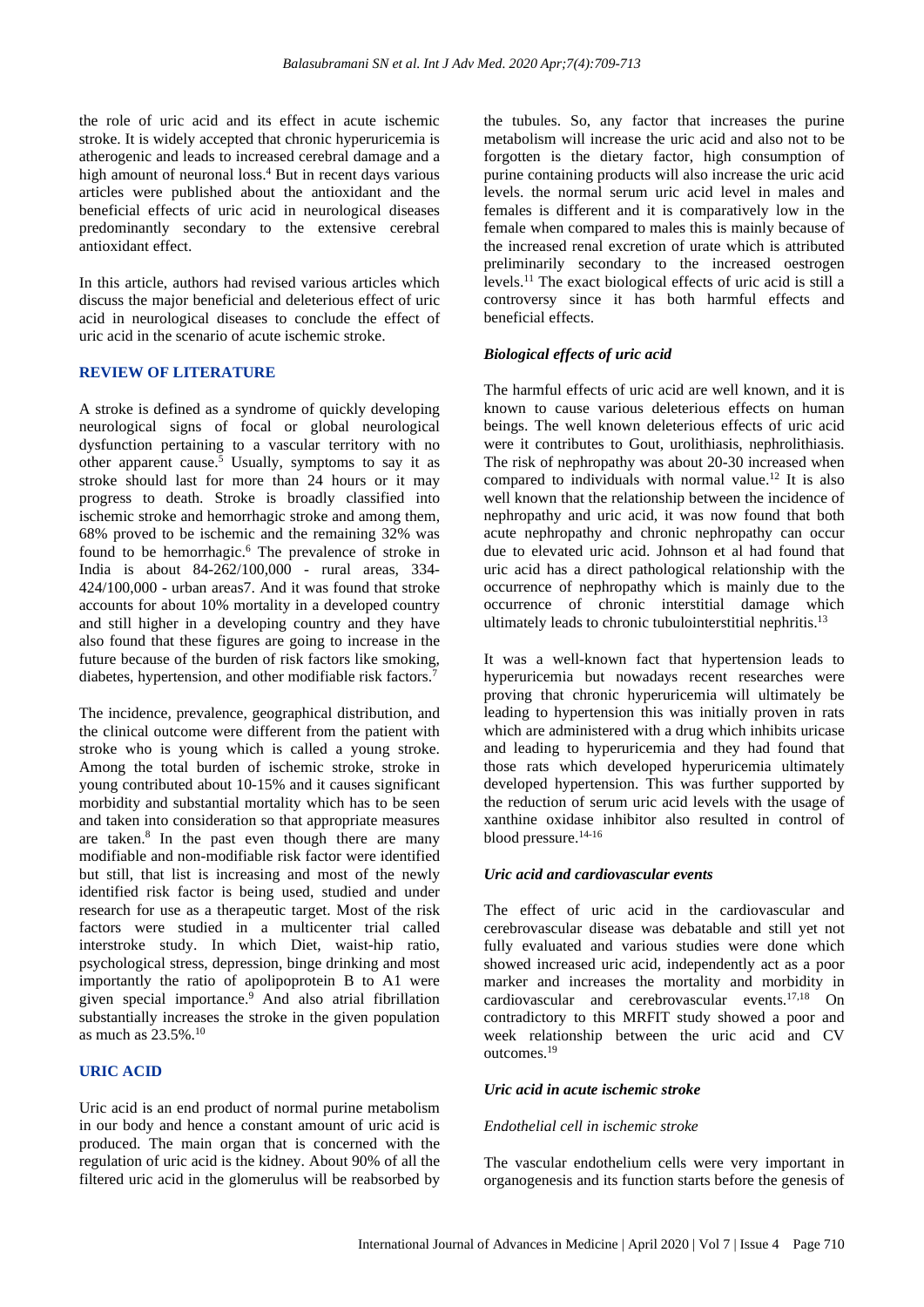the role of uric acid and its effect in acute ischemic stroke. It is widely accepted that chronic hyperuricemia is atherogenic and leads to increased cerebral damage and a high amount of neuronal loss. <sup>4</sup> But in recent days various articles were published about the antioxidant and the beneficial effects of uric acid in neurological diseases predominantly secondary to the extensive cerebral antioxidant effect.

In this article, authors had revised various articles which discuss the major beneficial and deleterious effect of uric acid in neurological diseases to conclude the effect of uric acid in the scenario of acute ischemic stroke.

#### **REVIEW OF LITERATURE**

A stroke is defined as a syndrome of quickly developing neurological signs of focal or global neurological dysfunction pertaining to a vascular territory with no other apparent cause. <sup>5</sup> Usually, symptoms to say it as stroke should last for more than 24 hours or it may progress to death. Stroke is broadly classified into ischemic stroke and hemorrhagic stroke and among them, 68% proved to be ischemic and the remaining 32% was found to be hemorrhagic. <sup>6</sup> The prevalence of stroke in India is about 84-262/100,000 - rural areas, 334- 424/100,000 - urban areas7. And it was found that stroke accounts for about 10% mortality in a developed country and still higher in a developing country and they have also found that these figures are going to increase in the future because of the burden of risk factors like smoking, diabetes, hypertension, and other modifiable risk factors. 7

The incidence, prevalence, geographical distribution, and the clinical outcome were different from the patient with stroke who is young which is called a young stroke. Among the total burden of ischemic stroke, stroke in young contributed about 10-15% and it causes significant morbidity and substantial mortality which has to be seen and taken into consideration so that appropriate measures are taken. 8 In the past even though there are many modifiable and non-modifiable risk factor were identified but still, that list is increasing and most of the newly identified risk factor is being used, studied and under research for use as a therapeutic target. Most of the risk factors were studied in a multicenter trial called interstroke study. In which Diet, waist-hip ratio, psychological stress, depression, binge drinking and most importantly the ratio of apolipoprotein B to A1 were given special importance. <sup>9</sup> And also atrial fibrillation substantially increases the stroke in the given population as much as 23.5%. 10

#### **URIC ACID**

Uric acid is an end product of normal purine metabolism in our body and hence a constant amount of uric acid is produced. The main organ that is concerned with the regulation of uric acid is the kidney. About 90% of all the filtered uric acid in the glomerulus will be reabsorbed by the tubules. So, any factor that increases the purine metabolism will increase the uric acid and also not to be forgotten is the dietary factor, high consumption of purine containing products will also increase the uric acid levels. the normal serum uric acid level in males and females is different and it is comparatively low in the female when compared to males this is mainly because of the increased renal excretion of urate which is attributed preliminarily secondary to the increased oestrogen levels. <sup>11</sup> The exact biological effects of uric acid is still a controversy since it has both harmful effects and beneficial effects.

## *Biological effects of uric acid*

The harmful effects of uric acid are well known, and it is known to cause various deleterious effects on human beings. The well known deleterious effects of uric acid were it contributes to Gout, urolithiasis, nephrolithiasis. The risk of nephropathy was about 20-30 increased when compared to individuals with normal value. <sup>12</sup> It is also well known that the relationship between the incidence of nephropathy and uric acid, it was now found that both acute nephropathy and chronic nephropathy can occur due to elevated uric acid. Johnson et al had found that uric acid has a direct pathological relationship with the occurrence of nephropathy which is mainly due to the occurrence of chronic interstitial damage which ultimately leads to chronic tubulointerstitial nephritis.<sup>13</sup>

It was a well-known fact that hypertension leads to hyperuricemia but nowadays recent researches were proving that chronic hyperuricemia will ultimately be leading to hypertension this was initially proven in rats which are administered with a drug which inhibits uricase and leading to hyperuricemia and they had found that those rats which developed hyperuricemia ultimately developed hypertension. This was further supported by the reduction of serum uric acid levels with the usage of xanthine oxidase inhibitor also resulted in control of blood pressure. 14-16

#### *Uric acid and cardiovascular events*

The effect of uric acid in the cardiovascular and cerebrovascular disease was debatable and still yet not fully evaluated and various studies were done which showed increased uric acid, independently act as a poor marker and increases the mortality and morbidity in cardiovascular and cerebrovascular events. 17,18 On contradictory to this MRFIT study showed a poor and week relationship between the uric acid and CV outcomes. 19

#### *Uric acid in acute ischemic stroke*

#### *Endothelial cell in ischemic stroke*

The vascular endothelium cells were very important in organogenesis and its function starts before the genesis of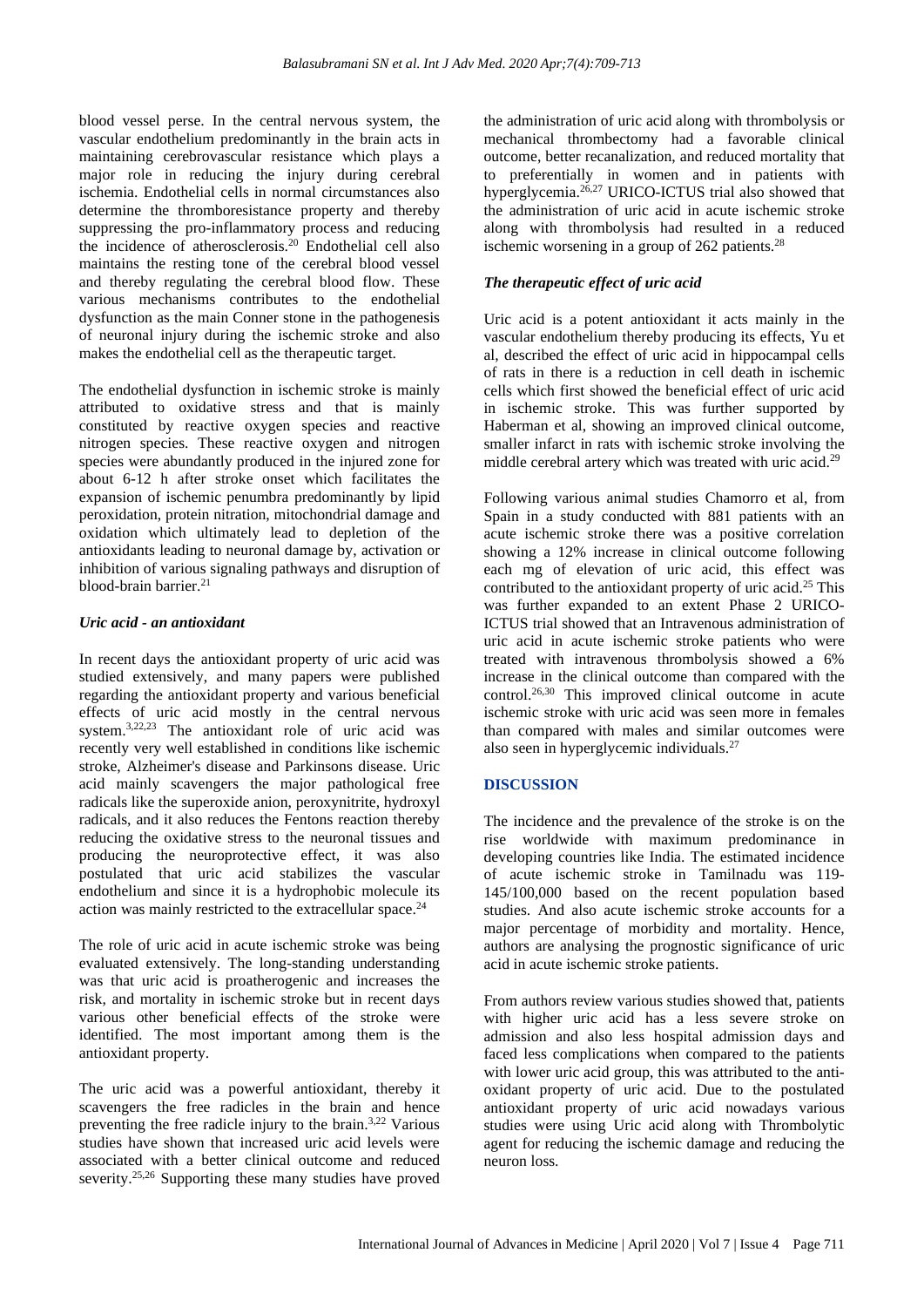blood vessel perse. In the central nervous system, the vascular endothelium predominantly in the brain acts in maintaining cerebrovascular resistance which plays a major role in reducing the injury during cerebral ischemia. Endothelial cells in normal circumstances also determine the thromboresistance property and thereby suppressing the pro-inflammatory process and reducing the incidence of atherosclerosis. <sup>20</sup> Endothelial cell also maintains the resting tone of the cerebral blood vessel and thereby regulating the cerebral blood flow. These various mechanisms contributes to the endothelial dysfunction as the main Conner stone in the pathogenesis of neuronal injury during the ischemic stroke and also makes the endothelial cell as the therapeutic target.

The endothelial dysfunction in ischemic stroke is mainly attributed to oxidative stress and that is mainly constituted by reactive oxygen species and reactive nitrogen species. These reactive oxygen and nitrogen species were abundantly produced in the injured zone for about 6-12 h after stroke onset which facilitates the expansion of ischemic penumbra predominantly by lipid peroxidation, protein nitration, mitochondrial damage and oxidation which ultimately lead to depletion of the antioxidants leading to neuronal damage by, activation or inhibition of various signaling pathways and disruption of blood-brain barrier. 21

## *Uric acid - an antioxidant*

In recent days the antioxidant property of uric acid was studied extensively, and many papers were published regarding the antioxidant property and various beneficial effects of uric acid mostly in the central nervous system. 3,22,23 The antioxidant role of uric acid was recently very well established in conditions like ischemic stroke, Alzheimer's disease and Parkinsons disease. Uric acid mainly scavengers the major pathological free radicals like the superoxide anion, peroxynitrite, hydroxyl radicals, and it also reduces the Fentons reaction thereby reducing the oxidative stress to the neuronal tissues and producing the neuroprotective effect, it was also postulated that uric acid stabilizes the vascular endothelium and since it is a hydrophobic molecule its action was mainly restricted to the extracellular space. 24

The role of uric acid in acute ischemic stroke was being evaluated extensively. The long-standing understanding was that uric acid is proatherogenic and increases the risk, and mortality in ischemic stroke but in recent days various other beneficial effects of the stroke were identified. The most important among them is the antioxidant property.

The uric acid was a powerful antioxidant, thereby it scavengers the free radicles in the brain and hence preventing the free radicle injury to the brain.3,22 Various studies have shown that increased uric acid levels were associated with a better clinical outcome and reduced severity.<sup>25,26</sup> Supporting these many studies have proved

the administration of uric acid along with thrombolysis or mechanical thrombectomy had a favorable clinical outcome, better recanalization, and reduced mortality that to preferentially in women and in patients with hyperglycemia. 26,27 URICO-ICTUS trial also showed that the administration of uric acid in acute ischemic stroke along with thrombolysis had resulted in a reduced ischemic worsening in a group of 262 patients. 28

## *The therapeutic effect of uric acid*

Uric acid is a potent antioxidant it acts mainly in the vascular endothelium thereby producing its effects, Yu et al, described the effect of uric acid in hippocampal cells of rats in there is a reduction in cell death in ischemic cells which first showed the beneficial effect of uric acid in ischemic stroke. This was further supported by Haberman et al, showing an improved clinical outcome, smaller infarct in rats with ischemic stroke involving the middle cerebral artery which was treated with uric acid.<sup>29</sup>

Following various animal studies Chamorro et al, from Spain in a study conducted with 881 patients with an acute ischemic stroke there was a positive correlation showing a 12% increase in clinical outcome following each mg of elevation of uric acid, this effect was contributed to the antioxidant property of uric acid.<sup>25</sup> This was further expanded to an extent Phase 2 URICO-ICTUS trial showed that an Intravenous administration of uric acid in acute ischemic stroke patients who were treated with intravenous thrombolysis showed a 6% increase in the clinical outcome than compared with the control. 26,30 This improved clinical outcome in acute ischemic stroke with uric acid was seen more in females than compared with males and similar outcomes were also seen in hyperglycemic individuals. 27

## **DISCUSSION**

The incidence and the prevalence of the stroke is on the rise worldwide with maximum predominance in developing countries like India. The estimated incidence of acute ischemic stroke in Tamilnadu was 119- 145/100,000 based on the recent population based studies. And also acute ischemic stroke accounts for a major percentage of morbidity and mortality. Hence, authors are analysing the prognostic significance of uric acid in acute ischemic stroke patients.

From authors review various studies showed that, patients with higher uric acid has a less severe stroke on admission and also less hospital admission days and faced less complications when compared to the patients with lower uric acid group, this was attributed to the antioxidant property of uric acid. Due to the postulated antioxidant property of uric acid nowadays various studies were using Uric acid along with Thrombolytic agent for reducing the ischemic damage and reducing the neuron loss.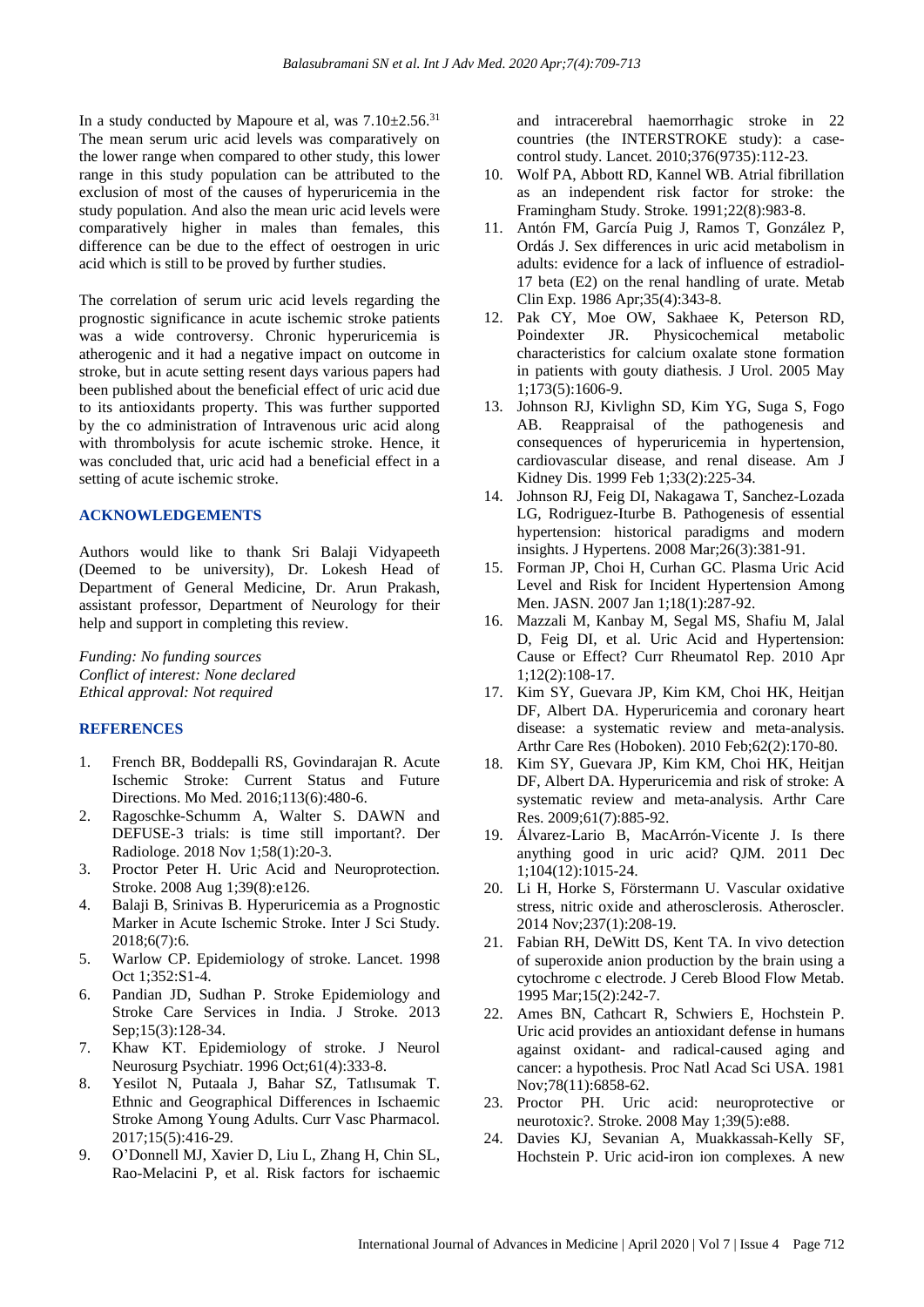In a study conducted by Mapoure et al, was  $7.10\pm2.56$ .<sup>31</sup> The mean serum uric acid levels was comparatively on the lower range when compared to other study, this lower range in this study population can be attributed to the exclusion of most of the causes of hyperuricemia in the study population. And also the mean uric acid levels were comparatively higher in males than females, this difference can be due to the effect of oestrogen in uric acid which is still to be proved by further studies.

The correlation of serum uric acid levels regarding the prognostic significance in acute ischemic stroke patients was a wide controversy. Chronic hyperuricemia is atherogenic and it had a negative impact on outcome in stroke, but in acute setting resent days various papers had been published about the beneficial effect of uric acid due to its antioxidants property. This was further supported by the co administration of Intravenous uric acid along with thrombolysis for acute ischemic stroke. Hence, it was concluded that, uric acid had a beneficial effect in a setting of acute ischemic stroke.

#### **ACKNOWLEDGEMENTS**

Authors would like to thank Sri Balaji Vidyapeeth (Deemed to be university), Dr. Lokesh Head of Department of General Medicine, Dr. Arun Prakash, assistant professor, Department of Neurology for their help and support in completing this review.

*Funding: No funding sources Conflict of interest: None declared Ethical approval: Not required*

### **REFERENCES**

- 1. French BR, Boddepalli RS, Govindarajan R. Acute Ischemic Stroke: Current Status and Future Directions. Mo Med. 2016;113(6):480-6.
- 2. Ragoschke-Schumm A, Walter S. DAWN and DEFUSE-3 trials: is time still important?. Der Radiologe. 2018 Nov 1;58(1):20-3.
- 3. Proctor Peter H. Uric Acid and Neuroprotection. Stroke. 2008 Aug 1;39(8):e126.
- 4. Balaji B, Srinivas B. Hyperuricemia as a Prognostic Marker in Acute Ischemic Stroke. Inter J Sci Study. 2018;6(7):6.
- 5. Warlow CP. Epidemiology of stroke. Lancet. 1998 Oct 1;352:S1-4.
- 6. Pandian JD, Sudhan P. Stroke Epidemiology and Stroke Care Services in India. J Stroke. 2013 Sep;15(3):128-34.
- 7. Khaw KT. Epidemiology of stroke. J Neurol Neurosurg Psychiatr. 1996 Oct;61(4):333-8.
- 8. Yesilot N, Putaala J, Bahar SZ, Tatlısumak T. Ethnic and Geographical Differences in Ischaemic Stroke Among Young Adults. Curr Vasc Pharmacol. 2017;15(5):416-29.
- 9. O'Donnell MJ, Xavier D, Liu L, Zhang H, Chin SL, Rao-Melacini P, et al. Risk factors for ischaemic

and intracerebral haemorrhagic stroke in 22 countries (the INTERSTROKE study): a casecontrol study. Lancet. 2010;376(9735):112-23.

- 10. Wolf PA, Abbott RD, Kannel WB. Atrial fibrillation as an independent risk factor for stroke: the Framingham Study. Stroke. 1991;22(8):983-8.
- 11. Antón FM, García Puig J, Ramos T, González P, Ordás J. Sex differences in uric acid metabolism in adults: evidence for a lack of influence of estradiol-17 beta (E2) on the renal handling of urate. Metab Clin Exp. 1986 Apr;35(4):343-8.
- 12. Pak CY, Moe OW, Sakhaee K, Peterson RD, Poindexter JR. Physicochemical metabolic characteristics for calcium oxalate stone formation in patients with gouty diathesis. J Urol. 2005 May 1;173(5):1606-9.
- 13. Johnson RJ, Kivlighn SD, Kim YG, Suga S, Fogo AB. Reappraisal of the pathogenesis and consequences of hyperuricemia in hypertension, cardiovascular disease, and renal disease. Am J Kidney Dis. 1999 Feb 1;33(2):225-34.
- 14. Johnson RJ, Feig DI, Nakagawa T, Sanchez-Lozada LG, Rodriguez-Iturbe B. Pathogenesis of essential hypertension: historical paradigms and modern insights. J Hypertens. 2008 Mar;26(3):381-91.
- 15. Forman JP, Choi H, Curhan GC. Plasma Uric Acid Level and Risk for Incident Hypertension Among Men. JASN. 2007 Jan 1;18(1):287-92.
- 16. Mazzali M, Kanbay M, Segal MS, Shafiu M, Jalal D, Feig DI, et al. Uric Acid and Hypertension: Cause or Effect? Curr Rheumatol Rep. 2010 Apr 1;12(2):108-17.
- 17. Kim SY, Guevara JP, Kim KM, Choi HK, Heitjan DF, Albert DA. Hyperuricemia and coronary heart disease: a systematic review and meta-analysis. Arthr Care Res (Hoboken). 2010 Feb;62(2):170-80.
- 18. Kim SY, Guevara JP, Kim KM, Choi HK, Heitjan DF, Albert DA. Hyperuricemia and risk of stroke: A systematic review and meta-analysis. Arthr Care Res. 2009;61(7):885-92.
- 19. Álvarez-Lario B, MacArrón-Vicente J. Is there anything good in uric acid? QJM. 2011 Dec 1;104(12):1015-24.
- 20. Li H, Horke S, Förstermann U. Vascular oxidative stress, nitric oxide and atherosclerosis. Atheroscler. 2014 Nov;237(1):208-19.
- 21. Fabian RH, DeWitt DS, Kent TA. In vivo detection of superoxide anion production by the brain using a cytochrome c electrode. J Cereb Blood Flow Metab. 1995 Mar;15(2):242-7.
- 22. Ames BN, Cathcart R, Schwiers E, Hochstein P. Uric acid provides an antioxidant defense in humans against oxidant- and radical-caused aging and cancer: a hypothesis. Proc Natl Acad Sci USA. 1981 Nov;78(11):6858-62.
- 23. Proctor PH. Uric acid: neuroprotective or neurotoxic?. Stroke. 2008 May 1;39(5):e88.
- 24. Davies KJ, Sevanian A, Muakkassah-Kelly SF, Hochstein P. Uric acid-iron ion complexes. A new